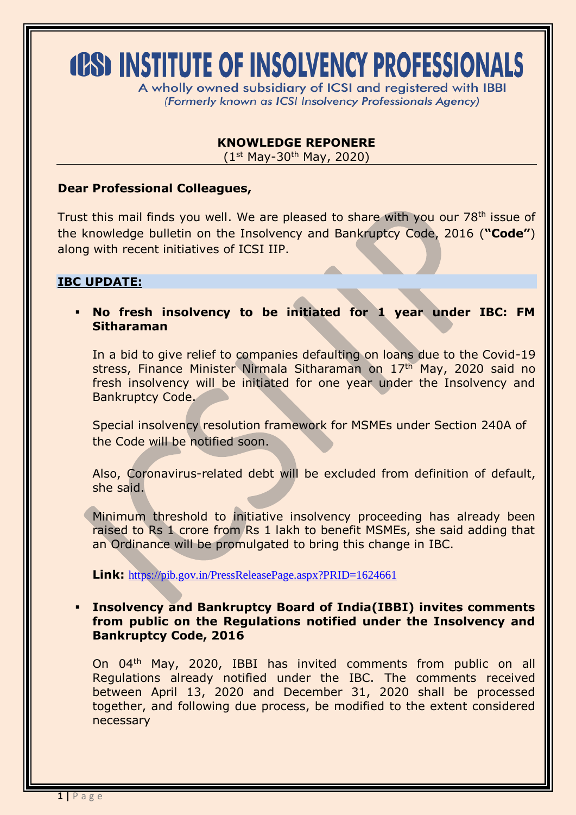# **(PS) INSTITUTE OF INSOLVENCY PROFESSIONALS**

A wholly owned subsidiary of ICSI and registered with IBBI (Formerly known as ICSI Insolvency Professionals Agency)

## **KNOWLEDGE REPONERE**

 $(1^{st}$  May-30<sup>th</sup> May, 2020)

### **Dear Professional Colleagues,**

Trust this mail finds you well. We are pleased to share with you our 78<sup>th</sup> issue of the knowledge bulletin on the Insolvency and Bankruptcy Code, 2016 (**"Code"**) along with recent initiatives of ICSI IIP.

## **IBC UPDATE:**

 **No fresh insolvency to be initiated for 1 year under IBC: FM Sitharaman**

In a bid to give relief to companies defaulting on loans due to the Covid-19 stress, Finance Minister Nirmala Sitharaman on 17th May, 2020 said no fresh insolvency will be initiated for one year under the Insolvency and Bankruptcy Code.

Special insolvency resolution framework for MSMEs under Section 240A of the Code will be notified soon.

Also, Coronavirus-related debt will be excluded from definition of default, she said.

Minimum threshold to initiative insolvency proceeding has already been raised to Rs 1 crore from Rs 1 lakh to benefit MSMEs, she said adding that an Ordinance will be promulgated to bring this change in IBC.

**Link:** <https://pib.gov.in/PressReleasePage.aspx?PRID=1624661>

 **[Insolvency and Bankruptcy Board of India\(IBBI\)](https://ibbi.gov.in/uploads/press/6408370b268c3a50c61bf75118493198.pdf) invites comments [from public on the Regulations notified under the Insolvency and](https://ibbi.gov.in/uploads/press/6408370b268c3a50c61bf75118493198.pdf)  [Bankruptcy Code, 2016](https://ibbi.gov.in/uploads/press/6408370b268c3a50c61bf75118493198.pdf)**

On 04th May, 2020, IBBI has invited comments from public on all Regulations already notified under the IBC. The comments received between April 13, 2020 and December 31, 2020 shall be processed together, and following due process, be modified to the extent considered necessary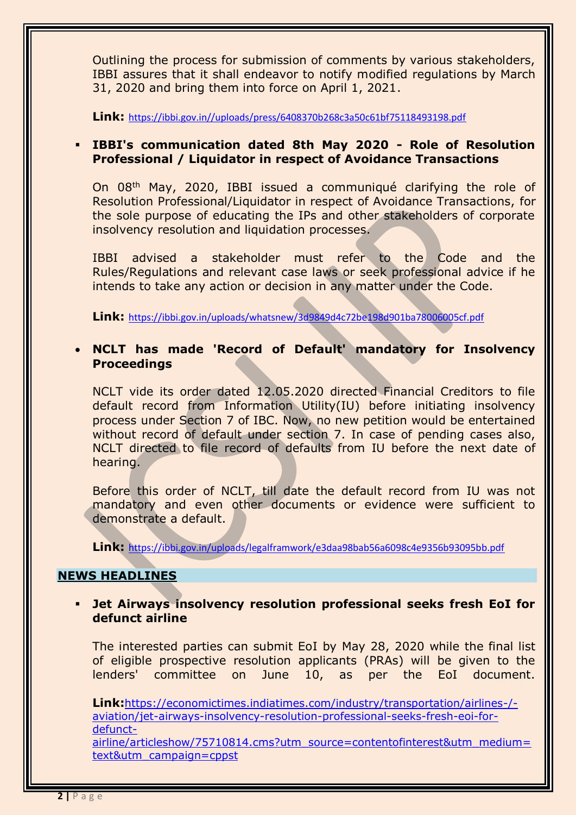Outlining the process for submission of comments by various stakeholders, IBBI assures that it shall endeavor to notify modified regulations by March 31, 2020 and bring them into force on April 1, 2021.

**Link:** [https://ibbi.gov.in//uploads/press/6408370b268c3a50c61bf75118493198.pdf](https://ibbi.gov.in/uploads/press/6408370b268c3a50c61bf75118493198.pdf)

## **[IBBI's communication dated 8th May 2020 -](https://ibbi.gov.in/uploads/whatsnew/3d9849d4c72be198d901ba78006005cf.pdf) Role of Resolution [Professional / Liquidator in respect of Avoidance Transactions](https://ibbi.gov.in/uploads/whatsnew/3d9849d4c72be198d901ba78006005cf.pdf)**

On 08th May, 2020, IBBI issued a communiqué clarifying the role of Resolution Professional/Liquidator in respect of Avoidance Transactions, for the sole purpose of educating the IPs and other stakeholders of corporate insolvency resolution and liquidation processes.

IBBI advised a stakeholder must refer to the Code and the Rules/Regulations and relevant case laws or seek professional advice if he intends to take any action or decision in any matter under the Code.

**Link:** <https://ibbi.gov.in/uploads/whatsnew/3d9849d4c72be198d901ba78006005cf.pdf>

## **NCLT has made 'Record of Default' mandatory for Insolvency Proceedings**

NCLT vide its order dated 12.05.2020 directed Financial Creditors to file default record from Information Utility(IU) before initiating insolvency process under Section 7 of IBC. Now, no new petition would be entertained without record of default under section 7. In case of pending cases also, NCLT directed to file record of defaults from IU before the next date of hearing.

Before this order of NCLT, till date the default record from IU was not mandatory and even other documents or evidence were sufficient to demonstrate a default.

**Link:** <https://ibbi.gov.in/uploads/legalframwork/e3daa98bab56a6098c4e9356b93095bb.pdf>

## **NEWS HEADLINES**

## **Jet Airways insolvency resolution professional seeks fresh EoI for defunct airline**

The interested parties can submit EoI by May 28, 2020 while the final list of eligible prospective resolution applicants (PRAs) will be given to the lenders' committee on June 10, as per the EoI document.

**Link:**[https://economictimes.indiatimes.com/industry/transportation/airlines-/](https://economictimes.indiatimes.com/industry/transportation/airlines-/-aviation/jet-airways-insolvency-resolution-professional-seeks-fresh-eoi-for-defunct-airline/articleshow/75710814.cms?utm_source=contentofinterest&utm_medium=text&utm_campaign=cppst) [aviation/jet-airways-insolvency-resolution-professional-seeks-fresh-eoi-for](https://economictimes.indiatimes.com/industry/transportation/airlines-/-aviation/jet-airways-insolvency-resolution-professional-seeks-fresh-eoi-for-defunct-airline/articleshow/75710814.cms?utm_source=contentofinterest&utm_medium=text&utm_campaign=cppst)[defunct](https://economictimes.indiatimes.com/industry/transportation/airlines-/-aviation/jet-airways-insolvency-resolution-professional-seeks-fresh-eoi-for-defunct-airline/articleshow/75710814.cms?utm_source=contentofinterest&utm_medium=text&utm_campaign=cppst)[airline/articleshow/75710814.cms?utm\\_source=contentofinterest&utm\\_medium=](https://economictimes.indiatimes.com/industry/transportation/airlines-/-aviation/jet-airways-insolvency-resolution-professional-seeks-fresh-eoi-for-defunct-airline/articleshow/75710814.cms?utm_source=contentofinterest&utm_medium=text&utm_campaign=cppst)

[text&utm\\_campaign=cppst](https://economictimes.indiatimes.com/industry/transportation/airlines-/-aviation/jet-airways-insolvency-resolution-professional-seeks-fresh-eoi-for-defunct-airline/articleshow/75710814.cms?utm_source=contentofinterest&utm_medium=text&utm_campaign=cppst)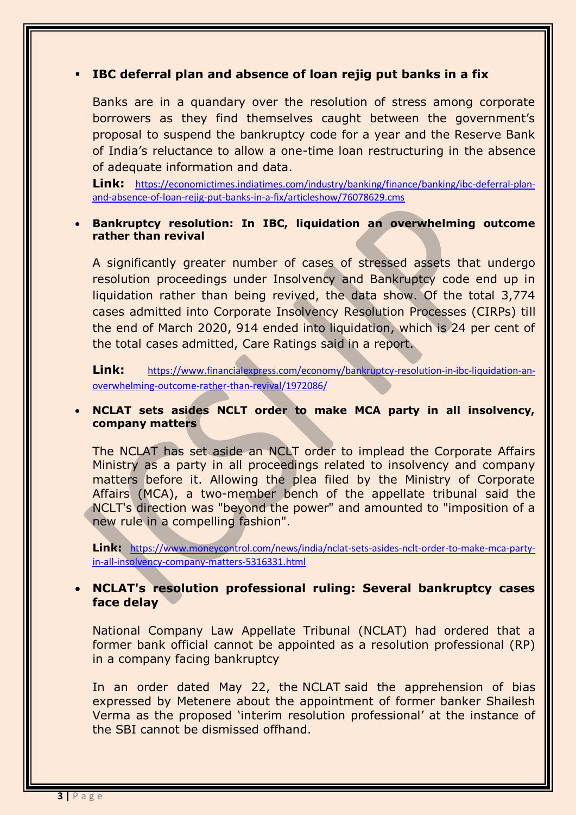## **IBC deferral plan and absence of loan rejig put banks in a fix**

Banks are in a quandary over the resolution of stress among corporate borrowers as they find themselves caught between the government's proposal to suspend the bankruptcy code for a year and the Reserve Bank of India's reluctance to allow a one-time loan restructuring in the absence of adequate information and data.

**Link:** [https://economictimes.indiatimes.com/industry/banking/finance/banking/ibc-deferral-plan](https://economictimes.indiatimes.com/industry/banking/finance/banking/ibc-deferral-plan-and-absence-of-loan-rejig-put-banks-in-a-fix/articleshow/76078629.cms)[and-absence-of-loan-rejig-put-banks-in-a-fix/articleshow/76078629.cms](https://economictimes.indiatimes.com/industry/banking/finance/banking/ibc-deferral-plan-and-absence-of-loan-rejig-put-banks-in-a-fix/articleshow/76078629.cms)

#### **Bankruptcy resolution: In IBC, liquidation an overwhelming outcome rather than revival**

A significantly greater number of cases of stressed assets that undergo resolution proceedings under Insolvency and Bankruptcy code end up in liquidation rather than being revived, the data show. Of the total 3,774 cases admitted into Corporate Insolvency Resolution Processes (CIRPs) till the end of March 2020, 914 ended into liquidation, which is 24 per cent of the total cases admitted, [Care Ratings](http://www.financialexpress.com/market/stock-market/care-ratings-ltd-stock-price/) said in a report.

**Link:** [https://www.financialexpress.com/economy/bankruptcy-resolution-in-ibc-liquidation-an](https://www.financialexpress.com/economy/bankruptcy-resolution-in-ibc-liquidation-an-overwhelming-outcome-rather-than-revival/1972086/)[overwhelming-outcome-rather-than-revival/1972086/](https://www.financialexpress.com/economy/bankruptcy-resolution-in-ibc-liquidation-an-overwhelming-outcome-rather-than-revival/1972086/)

#### **NCLAT sets asides NCLT order to make MCA party in all insolvency, company matters**

The NCLAT has set aside an NCLT order to implead the Corporate Affairs Ministry as a party in all proceedings related to insolvency and company matters before it. Allowing the plea filed by the Ministry of Corporate Affairs (MCA), a two-member bench of the appellate tribunal said the NCLT's direction was "beyond the power" and amounted to "imposition of a new rule in a compelling fashion".

**Link:** [https://www.moneycontrol.com/news/india/nclat-sets-asides-nclt-order-to-make-mca-party](https://www.moneycontrol.com/news/india/nclat-sets-asides-nclt-order-to-make-mca-party-in-all-insolvency-company-matters-5316331.html)[in-all-insolvency-company-matters-5316331.html](https://www.moneycontrol.com/news/india/nclat-sets-asides-nclt-order-to-make-mca-party-in-all-insolvency-company-matters-5316331.html)

#### **NCLAT's resolution professional ruling: Several bankruptcy cases face delay**

National Company Law Appellate Tribunal (NCLAT) had ordered that a former bank official cannot be appointed as a resolution professional (RP) in a company facing bankruptcy

In an order dated May 22, the [NCLAT](https://www.business-standard.com/topic/nclat) said the apprehension of bias expressed by Metenere about the appointment of former banker Shailesh Verma as the proposed 'interim resolution professional' at the instance of the SBI cannot be dismissed offhand.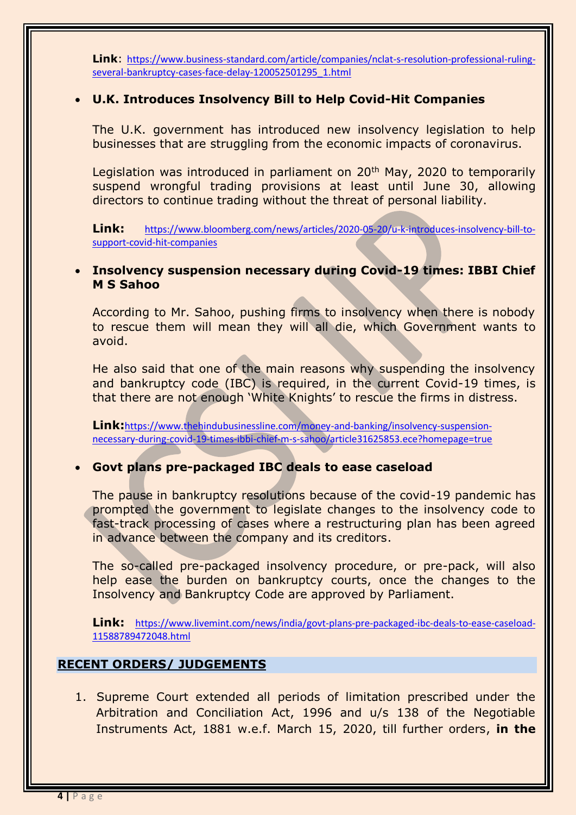**Link**: [https://www.business-standard.com/article/companies/nclat-s-resolution-professional-ruling](https://www.business-standard.com/article/companies/nclat-s-resolution-professional-ruling-several-bankruptcy-cases-face-delay-120052501295_1.html)[several-bankruptcy-cases-face-delay-120052501295\\_1.html](https://www.business-standard.com/article/companies/nclat-s-resolution-professional-ruling-several-bankruptcy-cases-face-delay-120052501295_1.html)

## **U.K. Introduces Insolvency Bill to Help Covid-Hit Companies**

The U.K. government has introduced new insolvency legislation to help businesses that are struggling from the economic impacts of coronavirus.

Legislation was introduced in parliament on 20<sup>th</sup> May, 2020 to temporarily suspend wrongful trading provisions at least until June 30, allowing directors to continue trading without the threat of personal liability.

**Link:** [https://www.bloomberg.com/news/articles/2020-05-20/u-k-introduces-insolvency-bill-to](https://www.bloomberg.com/news/articles/2020-05-20/u-k-introduces-insolvency-bill-to-support-covid-hit-companies)[support-covid-hit-companies](https://www.bloomberg.com/news/articles/2020-05-20/u-k-introduces-insolvency-bill-to-support-covid-hit-companies)

## **Insolvency suspension necessary during Covid-19 times: IBBI Chief M S Sahoo**

According to Mr. Sahoo, pushing firms to insolvency when there is nobody to rescue them will mean they will all die, which Government wants to avoid.

He also said that one of the main reasons why suspending the insolvency and bankruptcy code (IBC) is required, in the current Covid-19 times, is that there are not enough 'White Knights' to rescue the firms in distress.

**Link:**[https://www.thehindubusinessline.com/money-and-banking/insolvency-suspension](https://www.thehindubusinessline.com/money-and-banking/insolvency-suspension-necessary-during-covid-19-times-ibbi-chief-m-s-sahoo/article31625853.ece?homepage=true)[necessary-during-covid-19-times-ibbi-chief-m-s-sahoo/article31625853.ece?homepage=true](https://www.thehindubusinessline.com/money-and-banking/insolvency-suspension-necessary-during-covid-19-times-ibbi-chief-m-s-sahoo/article31625853.ece?homepage=true)

## **Govt plans pre-packaged IBC deals to ease caseload**

The pause in bankruptcy resolutions because of the covid-19 pandemic has prompted the government to legislate changes to the insolvency code to fast-track processing of cases where a restructuring plan has been agreed in advance between the company and its creditors.

The so-called pre-packaged insolvency procedure, or pre-pack, will also help ease the burden on bankruptcy courts, once the changes to the Insolvency and Bankruptcy Code are approved by Parliament.

**Link:** [https://www.livemint.com/news/india/govt-plans-pre-packaged-ibc-deals-to-ease-caseload-](https://www.livemint.com/news/india/govt-plans-pre-packaged-ibc-deals-to-ease-caseload-11588789472048.html)[11588789472048.html](https://www.livemint.com/news/india/govt-plans-pre-packaged-ibc-deals-to-ease-caseload-11588789472048.html)

## **RECENT ORDERS/ JUDGEMENTS**

1. Supreme Court extended all periods of limitation prescribed under the Arbitration and Conciliation Act, 1996 and u/s 138 of the Negotiable Instruments Act, 1881 w.e.f. March 15, 2020, till further orders, **in the**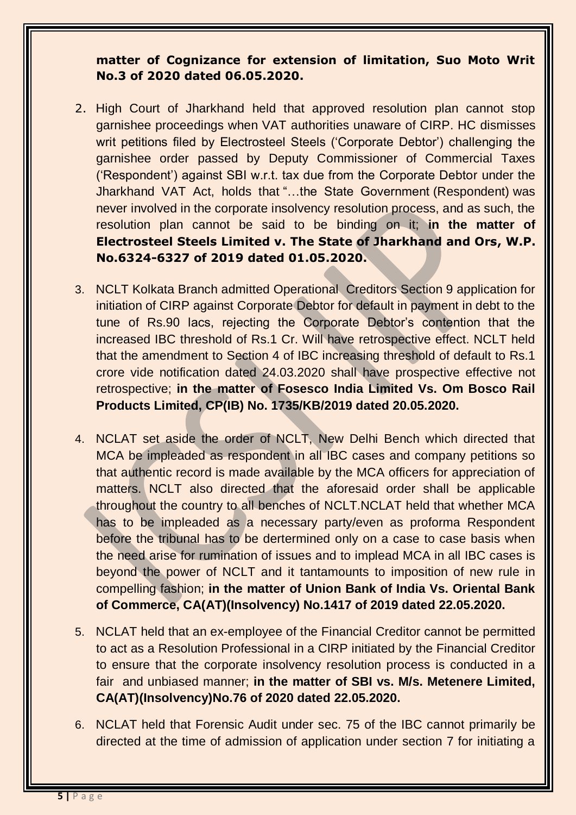# **matter of Cognizance for extension of limitation, Suo Moto Writ No.3 of 2020 dated 06.05.2020.**

- 2. High Court of Jharkhand held that approved resolution plan cannot stop garnishee proceedings when VAT authorities unaware of CIRP. HC dismisses writ petitions filed by Electrosteel Steels ('Corporate Debtor') challenging the garnishee order passed by Deputy Commissioner of Commercial Taxes ('Respondent') against SBI w.r.t. tax due from the Corporate Debtor under the Jharkhand VAT Act, holds that "…the State Government (Respondent) was never involved in the corporate insolvency resolution process, and as such, the resolution plan cannot be said to be binding on it; **in the matter of Electrosteel Steels Limited v. The State of Jharkhand and Ors, W.P. No.6324-6327 of 2019 dated 01.05.2020.**
- 3. NCLT Kolkata Branch admitted Operational Creditors Section 9 application for initiation of CIRP against Corporate Debtor for default in payment in debt to the tune of Rs.90 lacs, rejecting the Corporate Debtor's contention that the increased IBC threshold of Rs.1 Cr. Will have retrospective effect. NCLT held that the amendment to Section 4 of IBC increasing threshold of default to Rs.1 crore vide notification dated 24.03.2020 shall have prospective effective not retrospective; **in the matter of Fosesco India Limited Vs. Om Bosco Rail Products Limited, CP(IB) No. 1735/KB/2019 dated 20.05.2020.**
- 4. NCLAT set aside the order of NCLT, New Delhi Bench which directed that MCA be impleaded as respondent in all IBC cases and company petitions so that authentic record is made available by the MCA officers for appreciation of matters. NCLT also directed that the aforesaid order shall be applicable throughout the country to all benches of NCLT.NCLAT held that whether MCA has to be impleaded as a necessary party/even as proforma Respondent before the tribunal has to be dertermined only on a case to case basis when the need arise for rumination of issues and to implead MCA in all IBC cases is beyond the power of NCLT and it tantamounts to imposition of new rule in compelling fashion; **in the matter of Union Bank of India Vs. Oriental Bank of Commerce, CA(AT)(Insolvency) No.1417 of 2019 dated 22.05.2020.**
- 5. NCLAT held that an ex-employee of the Financial Creditor cannot be permitted to act as a Resolution Professional in a CIRP initiated by the Financial Creditor to ensure that the corporate insolvency resolution process is conducted in a fair and unbiased manner; **in the matter of SBI vs. M/s. Metenere Limited, CA(AT)(Insolvency)No.76 of 2020 dated 22.05.2020.**
- 6. NCLAT held that Forensic Audit under sec. 75 of the IBC cannot primarily be directed at the time of admission of application under section 7 for initiating a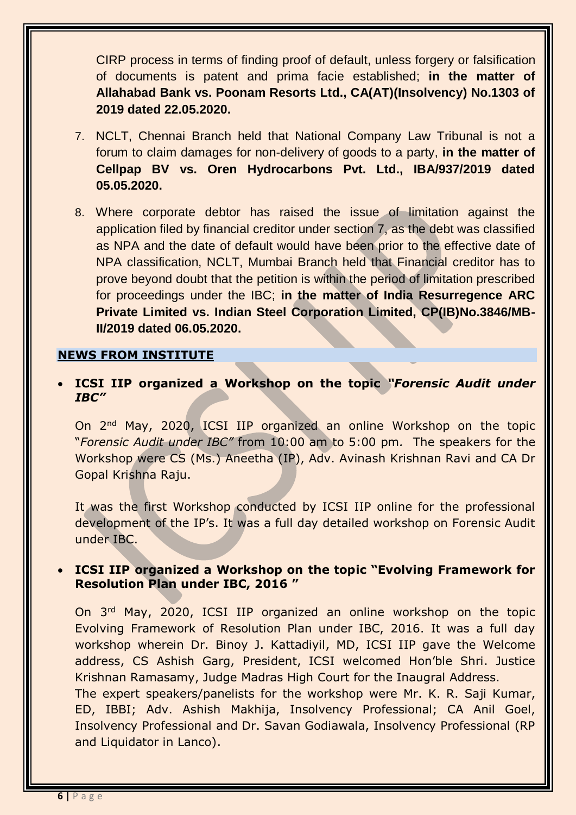CIRP process in terms of finding proof of default, unless forgery or falsification of documents is patent and prima facie established; **in the matter of Allahabad Bank vs. Poonam Resorts Ltd., CA(AT)(Insolvency) No.1303 of 2019 dated 22.05.2020.**

- 7. NCLT, Chennai Branch held that National Company Law Tribunal is not a forum to claim damages for non-delivery of goods to a party, **in the matter of Cellpap BV vs. Oren Hydrocarbons Pvt. Ltd., IBA/937/2019 dated 05.05.2020.**
- 8. Where corporate debtor has raised the issue of limitation against the application filed by financial creditor under section 7, as the debt was classified as NPA and the date of default would have been prior to the effective date of NPA classification, NCLT, Mumbai Branch held that Financial creditor has to prove beyond doubt that the petition is within the period of limitation prescribed for proceedings under the IBC; **in the matter of India Resurregence ARC Private Limited vs. Indian Steel Corporation Limited, CP(IB)No.3846/MB-II/2019 dated 06.05.2020.**

#### **NEWS FROM INSTITUTE**

 **ICSI IIP organized a Workshop on the topic** *"Forensic Audit under IBC"*

On 2nd May, 2020, ICSI IIP organized an online Workshop on the topic "*Forensic Audit under IBC"* from 10:00 am to 5:00 pm*.* The speakers for the Workshop were CS (Ms.) Aneetha (IP), Adv. Avinash Krishnan Ravi and CA Dr Gopal Krishna Raju.

It was the first Workshop conducted by ICSI IIP online for the professional development of the IP's. It was a full day detailed workshop on Forensic Audit under IBC.

## **ICSI IIP organized a Workshop on the topic "Evolving Framework for Resolution Plan under IBC, 2016 "**

On 3rd May, 2020, ICSI IIP organized an online workshop on the topic Evolving Framework of Resolution Plan under IBC, 2016. It was a full day workshop wherein Dr. Binoy J. Kattadiyil, MD, ICSI IIP gave the Welcome address, CS Ashish Garg, President, ICSI welcomed Hon'ble Shri. Justice Krishnan Ramasamy, Judge Madras High Court for the Inaugral Address.

The expert speakers/panelists for the workshop were Mr. K. R. Saji Kumar, ED, IBBI; Adv. Ashish Makhija, Insolvency Professional; CA Anil Goel, Insolvency Professional and Dr. Savan Godiawala, Insolvency Professional (RP and Liquidator in Lanco).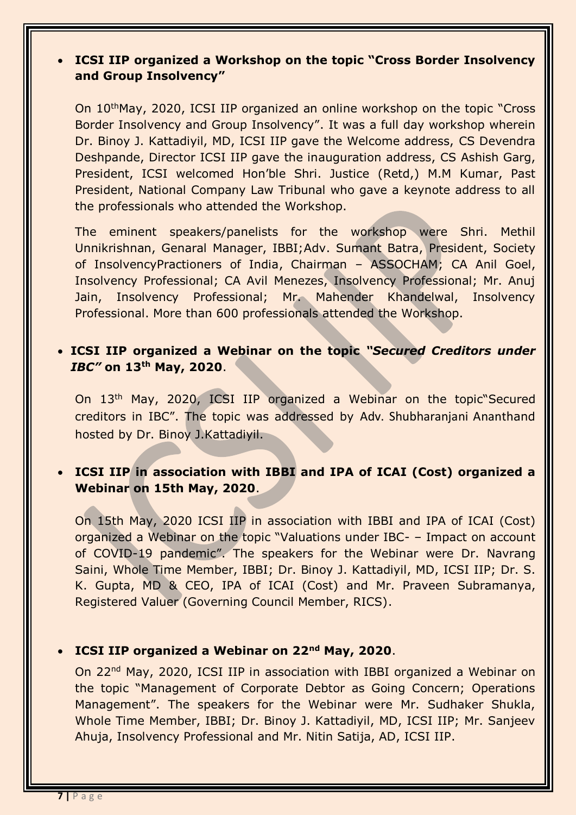# **ICSI IIP organized a Workshop on the topic "Cross Border Insolvency and Group Insolvency"**

On 10thMay, 2020, ICSI IIP organized an online workshop on the topic "Cross Border Insolvency and Group Insolvency". It was a full day workshop wherein Dr. Binoy J. Kattadiyil, MD, ICSI IIP gave the Welcome address, CS Devendra Deshpande, Director ICSI IIP gave the inauguration address, CS Ashish Garg, President, ICSI welcomed Hon'ble Shri. Justice (Retd,) M.M Kumar, Past President, National Company Law Tribunal who gave a keynote address to all the professionals who attended the Workshop.

The eminent speakers/panelists for the workshop were Shri. Methil Unnikrishnan, Genaral Manager, IBBI;Adv. Sumant Batra, President, Society of InsolvencyPractioners of India, Chairman – ASSOCHAM; CA Anil Goel, Insolvency Professional; CA Avil Menezes, Insolvency Professional; Mr. Anuj Jain, Insolvency Professional; Mr. Mahender Khandelwal, Insolvency Professional. More than 600 professionals attended the Workshop.

# **ICSI IIP organized a Webinar on the topic** *"Secured Creditors under IBC"* **on 13th May, 2020**.

On 13th May, 2020, ICSI IIP organized a Webinar on the topic"Secured creditors in IBC". The topic was addressed by Adv. Shubharanjani Ananthand hosted by Dr. Binoy J.Kattadiyil.

# **ICSI IIP in association with IBBI and IPA of ICAI (Cost) organized a Webinar on 15th May, 2020**.

On 15th May, 2020 ICSI IIP in association with IBBI and IPA of ICAI (Cost) organized a Webinar on the topic "Valuations under IBC- – Impact on account of COVID-19 pandemic". The speakers for the Webinar were Dr. Navrang Saini, Whole Time Member, IBBI; Dr. Binoy J. Kattadiyil, MD, ICSI IIP; Dr. S. K. Gupta, MD & CEO, IPA of ICAI (Cost) and Mr. Praveen Subramanya, Registered Valuer (Governing Council Member, RICS).

## **ICSI IIP organized a Webinar on 22nd May, 2020**.

On 22nd May, 2020, ICSI IIP in association with IBBI organized a Webinar on the topic "Management of Corporate Debtor as Going Concern; Operations Management". The speakers for the Webinar were Mr. Sudhaker Shukla, Whole Time Member, IBBI; Dr. Binoy J. Kattadiyil, MD, ICSI IIP; Mr. Sanjeev Ahuja, Insolvency Professional and Mr. Nitin Satija, AD, ICSI IIP.